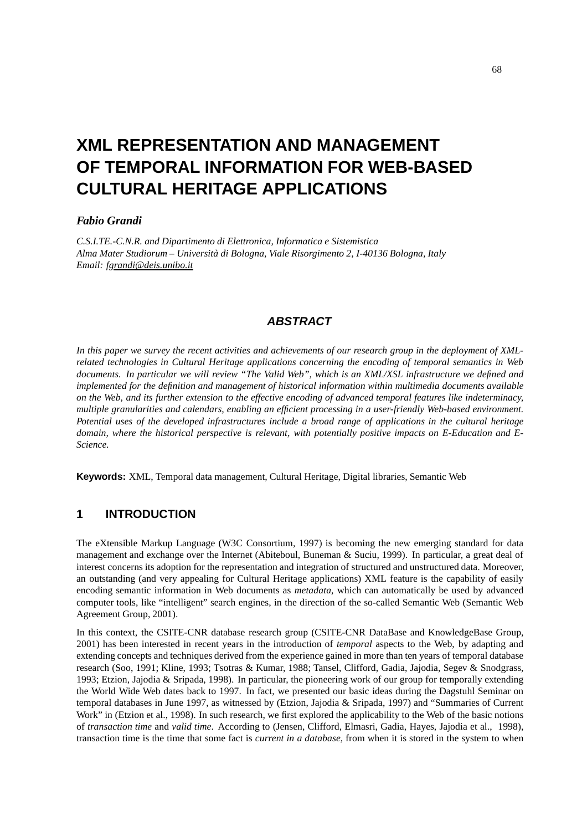# **XML REPRESENTATION AND MANAGEMENT OF TEMPORAL INFORMATION FOR WEB-BASED CULTURAL HERITAGE APPLICATIONS**

#### *Fabio Grandi*

*C.S.I.TE.-C.N.R. and Dipartimento di Elettronica, Informatica e Sistemistica Alma Mater Studiorum – Universita` di Bologna, Viale Risorgimento 2, I-40136 Bologna, Italy Email: fgrandi@deis.unibo.it*

### **ABSTRACT**

In this paper we survey the recent activities and achievements of our research group in the deployment of XML*related technologies in Cultural Heritage applications concerning the encoding of temporal semantics in Web* documents. In particular we will review "The Valid Web", which is an XML/XSL infrastructure we defined and *implemented for the definition and management of historical information within multimedia documents available* on the Web, and its further extension to the effective encoding of advanced temporal features like indeterminacy, *multiple granularities and calendars, enabling an efficient processing in a user-friendly Web-based environment. Potential uses of the developed infrastructures include a broad range of applications in the cultural heritage domain, where the historical perspective is relevant, with potentially positive impacts on E-Education and E-Science.*

**Keywords:** XML, Temporal data management, Cultural Heritage, Digital libraries, Semantic Web

### **1 INTRODUCTION**

The eXtensible Markup Language (W3C Consortium, 1997) is becoming the new emerging standard for data management and exchange over the Internet (Abiteboul, Buneman & Suciu, 1999). In particular, a great deal of interest concerns its adoption for the representation and integration of structured and unstructured data. Moreover, an outstanding (and very appealing for Cultural Heritage applications) XML feature is the capability of easily encoding semantic information in Web documents as *metadata*, which can automatically be used by advanced computer tools, like "intelligent" search engines, in the direction of the so-called Semantic Web (Semantic Web Agreement Group, 2001).

In this context, the CSITE-CNR database research group (CSITE-CNR DataBase and KnowledgeBase Group, 2001) has been interested in recent years in the introduction of *temporal* aspects to the Web, by adapting and extending concepts and techniques derived from the experience gained in more than ten years of temporal database research (Soo, 1991; Kline, 1993; Tsotras & Kumar, 1988; Tansel, Clifford, Gadia, Jajodia, Segev & Snodgrass, 1993; Etzion, Jajodia & Sripada, 1998). In particular, the pioneering work of our group for temporally extending the World Wide Web dates back to 1997. In fact, we presented our basic ideas during the Dagstuhl Seminar on temporal databases in June 1997, as witnessed by (Etzion, Jajodia & Sripada, 1997) and "Summaries of Current Work" in (Etzion et al., 1998). In such research, we first explored the applicability to the Web of the basic notions of *transaction time* and *valid time*. According to (Jensen, Clifford, Elmasri, Gadia, Hayes, Jajodia et al., 1998), transaction time is the time that some fact is *current in a database*, from when it is stored in the system to when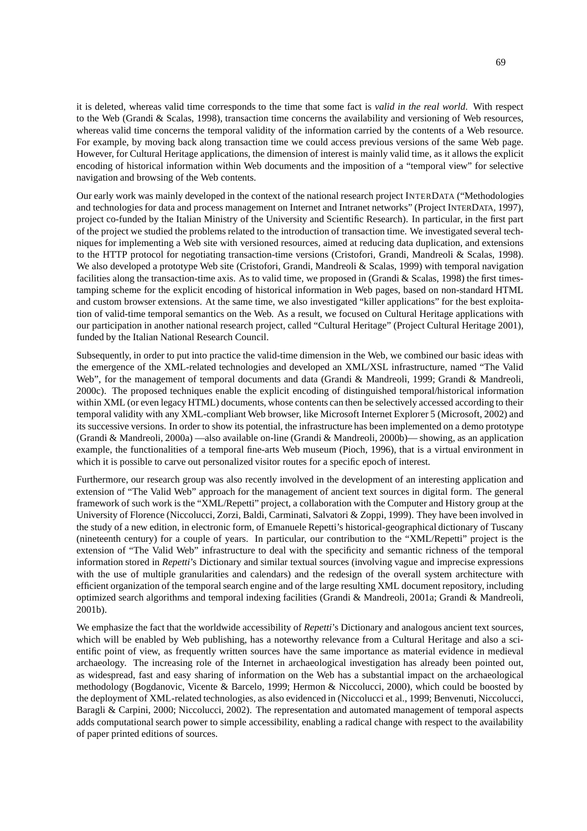it is deleted, whereas valid time corresponds to the time that some fact is *valid in the real world*. With respect to the Web (Grandi & Scalas, 1998), transaction time concerns the availability and versioning of Web resources, whereas valid time concerns the temporal validity of the information carried by the contents of a Web resource. For example, by moving back along transaction time we could access previous versions of the same Web page. However, for Cultural Heritage applications, the dimension of interest is mainly valid time, as it allows the explicit encoding of historical information within Web documents and the imposition of a "temporal view" for selective navigation and browsing of the Web contents.

Our early work was mainly developed in the context of the national research project INTERDATA ("Methodologies and technologies for data and process management on Internet and Intranet networks" (Project INTERDATA, 1997), project co-funded by the Italian Ministry of the University and Scientific Research). In particular, in the first part of the project we studied the problems related to the introduction of transaction time. We investigated several techniques for implementing a Web site with versioned resources, aimed at reducing data duplication, and extensions to the HTTP protocol for negotiating transaction-time versions (Cristofori, Grandi, Mandreoli & Scalas, 1998). We also developed a prototype Web site (Cristofori, Grandi, Mandreoli & Scalas, 1999) with temporal navigation facilities along the transaction-time axis. As to valid time, we proposed in (Grandi & Scalas, 1998) the first timestamping scheme for the explicit encoding of historical information in Web pages, based on non-standard HTML and custom browser extensions. At the same time, we also investigated "killer applications" for the best exploitation of valid-time temporal semantics on the Web. As a result, we focused on Cultural Heritage applications with our participation in another national research project, called "Cultural Heritage" (Project Cultural Heritage 2001), funded by the Italian National Research Council.

Subsequently, in order to put into practice the valid-time dimension in the Web, we combined our basic ideas with the emergence of the XML-related technologies and developed an XML/XSL infrastructure, named "The Valid Web", for the management of temporal documents and data (Grandi & Mandreoli, 1999; Grandi & Mandreoli, 2000c). The proposed techniques enable the explicit encoding of distinguished temporal/historical information within XML (or even legacy HTML) documents, whose contents can then be selectively accessed according to their temporal validity with any XML-compliant Web browser, like Microsoft Internet Explorer 5 (Microsoft, 2002) and its successive versions. In order to show its potential, the infrastructure has been implemented on a demo prototype (Grandi & Mandreoli, 2000a) —also available on-line (Grandi & Mandreoli, 2000b)— showing, as an application example, the functionalities of a temporal fine-arts Web museum (Pioch, 1996), that is a virtual environment in which it is possible to carve out personalized visitor routes for a specific epoch of interest.

Furthermore, our research group was also recently involved in the development of an interesting application and extension of "The Valid Web" approach for the management of ancient text sources in digital form. The general framework of such work is the "XML/Repetti" project, a collaboration with the Computer and History group at the University of Florence (Niccolucci, Zorzi, Baldi, Carminati, Salvatori & Zoppi, 1999). They have been involved in the study of a new edition, in electronic form, of Emanuele Repetti's historical-geographical dictionary of Tuscany (nineteenth century) for a couple of years. In particular, our contribution to the "XML/Repetti" project is the extension of "The Valid Web" infrastructure to deal with the specificity and semantic richness of the temporal information stored in *Repetti*'s Dictionary and similar textual sources (involving vague and imprecise expressions with the use of multiple granularities and calendars) and the redesign of the overall system architecture with efficient organization of the temporal search engine and of the large resulting XML document repository, including optimized search algorithms and temporal indexing facilities (Grandi & Mandreoli, 2001a; Grandi & Mandreoli, 2001b).

We emphasize the fact that the worldwide accessibility of *Repetti*'s Dictionary and analogous ancient text sources, which will be enabled by Web publishing, has a noteworthy relevance from a Cultural Heritage and also a sci-entific point of view, as frequently written sources have the same importance as material evidence in medieval archaeology. The increasing role of the Internet in archaeological investigation has already been pointed out, as widespread, fast and easy sharing of information on the Web has a substantial impact on the archaeological methodology (Bogdanovic, Vicente & Barcelo, 1999; Hermon & Niccolucci, 2000), which could be boosted by the deployment of XML-related technologies, as also evidenced in (Niccolucci et al., 1999; Benvenuti, Niccolucci, Baragli & Carpini, 2000; Niccolucci, 2002). The representation and automated management of temporal aspects adds computational search power to simple accessibility, enabling a radical change with respect to the availability of paper printed editions of sources.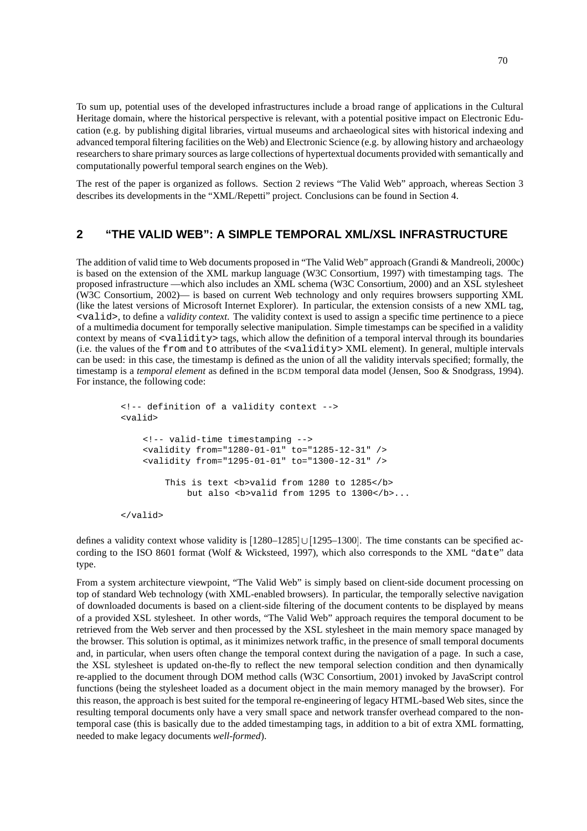To sum up, potential uses of the developed infrastructures include a broad range of applications in the Cultural Heritage domain, where the historical perspective is relevant, with a potential positive impact on Electronic Education (e.g. by publishing digital libraries, virtual museums and archaeological sites with historical indexing and advanced temporal filtering facilities on the Web) and Electronic Science (e.g. by allowing history and archaeology researchersto share primary sources as large collections of hypertextual documents provided with semantically and computationally powerful temporal search engines on the Web).

The rest of the paper is organized as follows. Section 2 reviews "The Valid Web" approach, whereas Section 3 describes its developments in the "XML/Repetti" project. Conclusions can be found in Section 4.

#### **2 "THE VALID WEB": A SIMPLE TEMPORAL XML/XSL INFRASTRUCTURE**

The addition of valid time to Web documents proposed in "The Valid Web" approach (Grandi & Mandreoli, 2000c) is based on the extension of the XML markup language (W3C Consortium, 1997) with timestamping tags. The proposed infrastructure —which also includes an XML schema (W3C Consortium, 2000) and an XSL stylesheet (W3C Consortium, 2002)— is based on current Web technology and only requires browsers supporting XML (like the latest versions of Microsoft Internet Explorer). In particular, the extension consists of a new XML tag, <valid>, to define a *validity context*. The validity context is used to assign a specific time pertinence to a piece of a multimedia document for temporally selective manipulation. Simple timestamps can be specified in a validity context by means of <validity> tags, which allow the definition of a temporal interval through its boundaries (i.e. the values of the from and to attributes of the <validity> XML element). In general, multiple intervals can be used: in this case, the timestamp is defined as the union of all the validity intervals specified; formally, the timestamp is a *temporal element* as defined in the BCDM temporal data model (Jensen, Soo & Snodgrass, 1994). For instance, the following code:

```
<!-- definition of a validity context -->
<valid>
    <!-- valid-time timestamping -->
    <validity from="1280-01-01" to="1285-12-31" />
    <validity from="1295-01-01" to="1300-12-31" />
        This is text <b>valid from 1280 to 1285</b>
            but also s >valid from 1295 to 1300</b>...
</valid>
```
defines a validity context whose validity is  $[1280-1285] \cup [1295-1300]$ . The time constants can be specified according to the ISO 8601 format (Wolf & Wicksteed, 1997), which also corresponds to the XML "date" data type.

From a system architecture viewpoint, "The Valid Web" is simply based on client-side document processing on top of standard Web technology (with XML-enabled browsers). In particular, the temporally selective navigation of downloaded documents is based on a client-side filtering of the document contents to be displayed by means of a provided XSL stylesheet. In other words, "The Valid Web" approach requires the temporal document to be retrieved from the Web server and then processed by the XSL stylesheet in the main memory space managed by the browser. This solution is optimal, as it minimizes network traffic, in the presence of small temporal documents and, in particular, when users often change the temporal context during the navigation of a page. In such a case, the XSL stylesheet is updated on-the-fly to reflect the new temporal selection condition and then dynamically re-applied to the document through DOM method calls (W3C Consortium, 2001) invoked by JavaScript control functions (being the stylesheet loaded as a document object in the main memory managed by the browser). For this reason, the approach is best suited for the temporal re-engineering of legacy HTML-based Web sites, since the resulting temporal documents only have a very small space and network transfer overhead compared to the nontemporal case (this is basically due to the added timestamping tags, in addition to a bit of extra XML formatting, needed to make legacy documents *well-formed*).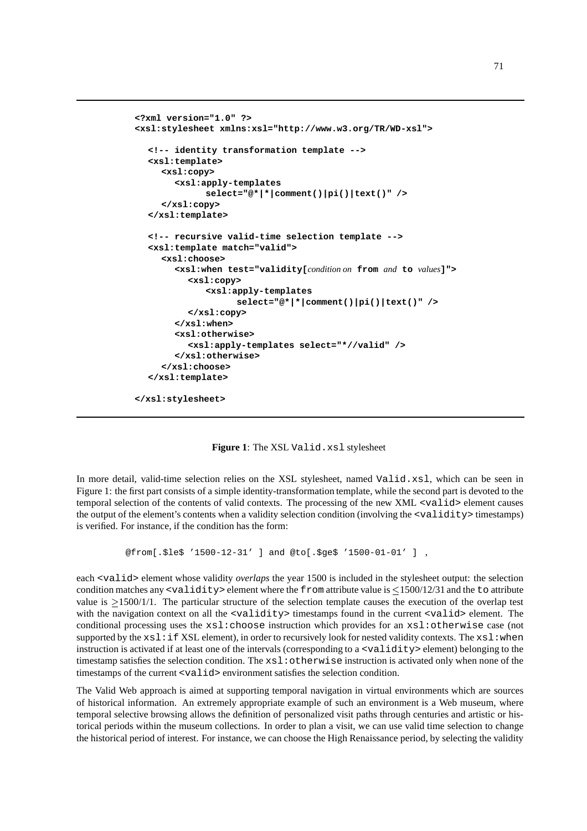```
<?xml version="1.0" ?>
<xsl:stylesheet xmlns:xsl="http://www.w3.org/TR/WD-xsl">
  <!-- identity transformation template -->
  <xsl:template>
     <xsl:copy>
       <xsl:apply-templates
             select="@*|*|comment()|pi()|text()" />
     </xsl:copy>
  </xsl:template>
  <!-- recursive valid-time selection template -->
  <xsl:template match="valid">
     <xsl:choose>
       <xsl:when test="validity[condition on from and to values]">
          <xsl:copy>
             <xsl:apply-templates
                   select="@*|*|comment()|pi()|text()" />
          </xsl:copy>
       </xsl:when>
       <xsl:otherwise>
          <xsl:apply-templates select="*//valid" />
       </xsl:otherwise>
     </xsl:choose>
  </xsl:template>
```
**</xsl:stylesheet>**

**Figure 1**: The XSL Valid.xsl stylesheet

In more detail, valid-time selection relies on the XSL stylesheet, named Valid.xsl, which can be seen in Figure 1: the first part consists of a simple identity-transformation template, while the second part is devoted to the temporal selection of the contents of valid contexts. The processing of the new XML <valid> element causes the output of the element's contents when a validity selection condition (involving the <validity> timestamps) is verified. For instance, if the condition has the form:

```
@from[.$le$ '1500-12-31' ] and @to[.$ge$ '1500-01-01' ] ,
```
each <valid> element whose validity *overlaps* the year 1500 is included in the stylesheet output: the selection condition matches any  $\langle$ validity  $\rangle$  element where the from attribute value is  $\leq$ 1500/12/31 and the to attribute value is  $>1500/1/1$ . The particular structure of the selection template causes the execution of the overlap test with the navigation context on all the  $\langle \text{validity}\rangle$  timestamps found in the current  $\langle \text{valid}\rangle$  element. The conditional processing uses the xsl:choose instruction which provides for an xsl:otherwise case (not supported by the  $xsl:if XSL$  element), in order to recursively look for nested validity contexts. The  $xsl:when$ instruction is activated if at least one of the intervals (corresponding to a <validity> element) belonging to the timestamp satisfies the selection condition. The  $xsl:otherwise$  instruction is activated only when none of the timestamps of the current <valid> environment satisfies the selection condition.

The Valid Web approach is aimed at supporting temporal navigation in virtual environments which are sources of historical information. An extremely appropriate example of such an environment is a Web museum, where temporal selective browsing allows the definition of personalized visit paths through centuries and artistic or historical periods within the museum collections. In order to plan a visit, we can use valid time selection to change the historical period of interest. For instance, we can choose the High Renaissance period, by selecting the validity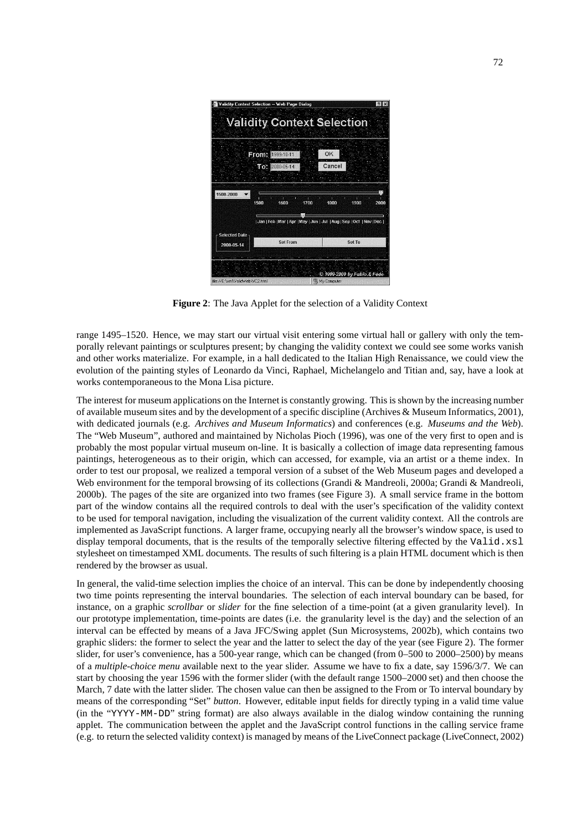|                      | Validity Context Selection -- Web Page Dialog<br><b>Validity Context Selection</b> |        |                             |
|----------------------|------------------------------------------------------------------------------------|--------|-----------------------------|
|                      |                                                                                    |        |                             |
|                      | From: 1999-10-11                                                                   | OK     |                             |
|                      | $10122000 - 05 - 14$                                                               | Cancel |                             |
|                      |                                                                                    |        |                             |
|                      |                                                                                    |        |                             |
| 1500-2000            | π                                                                                  | п<br>п |                             |
| 1500                 | 1600<br>1700                                                                       | 1800   | 1900<br>2000                |
|                      |                                                                                    |        |                             |
|                      | Jan   Feb   Mar   Apr   May   Jun   Jul   Aug   Sep   Oct   Nov   Dec              |        |                             |
| <b>Selected Date</b> |                                                                                    |        |                             |
| 2000-05-14           | <b>Set From</b>                                                                    |        | Set To                      |
|                      |                                                                                    |        |                             |
|                      |                                                                                    |        |                             |
|                      |                                                                                    |        |                             |
|                      |                                                                                    |        | © 1999-2000 by Fabio & Fede |

**Figure 2**: The Java Applet for the selection of a Validity Context

range 1495–1520. Hence, we may start our virtual visit entering some virtual hall or gallery with only the temporally relevant paintings or sculptures present; by changing the validity context we could see some works vanish and other works materialize. For example, in a hall dedicated to the Italian High Renaissance, we could view the evolution of the painting styles of Leonardo da Vinci, Raphael, Michelangelo and Titian and, say, have a look at works contemporaneous to the Mona Lisa picture.

The interest for museum applications on the Internet is constantly growing. This is shown by the increasing number of available museum sites and by the development of a specific discipline (Archives & Museum Informatics, 2001), with dedicated journals (e.g. *Archives and Museum Informatics*) and conferences (e.g. *Museums and the Web*). The "Web Museum", authored and maintained by Nicholas Pioch (1996), was one of the very first to open and is probably the most popular virtual museum on-line. It is basically a collection of image data representing famous paintings, heterogeneous as to their origin, which can accessed, for example, via an artist or a theme index. In order to test our proposal, we realized a temporal version of a subset of the Web Museum pages and developed a Web environment for the temporal browsing of its collections (Grandi & Mandreoli, 2000a; Grandi & Mandreoli, 2000b). The pages of the site are organized into two frames (see Figure 3). A small service frame in the bottom part of the window contains all the required controls to deal with the user's specification of the validity context to be used for temporal navigation, including the visualization of the current validity context. All the controls are implemented as JavaScript functions. A larger frame, occupying nearly all the browser's window space, is used to display temporal documents, that is the results of the temporally selective filtering effected by the Valid.xsl stylesheet on timestamped XML documents. The results of such filtering is a plain HTML document which is then rendered by the browser as usual.

In general, the valid-time selection implies the choice of an interval. This can be done by independently choosing two time points representing the interval boundaries. The selection of each interval boundary can be based, for instance, on a graphic *scrollbar* or *slider* for the fine selection of a time-point (at a given granularity level). In our prototype implementation, time-points are dates (i.e. the granularity level is the day) and the selection of an interval can be effected by means of a Java JFC/Swing applet (Sun Microsystems, 2002b), which contains two graphic sliders: the former to select the year and the latter to select the day of the year (see Figure 2). The former slider, for user's convenience, has a 500-year range, which can be changed (from 0–500 to 2000–2500) by means of a *multiple-choice menu* available next to the year slider. Assume we have to fix a date, say 1596/3/7. We can start by choosing the year 1596 with the former slider (with the default range 1500–2000 set) and then choose the March, 7 date with the latter slider. The chosen value can then be assigned to the From or To interval boundary by means of the corresponding "Set" *button*. However, editable input fields for directly typing in a valid time value (in the "YYYY-MM-DD" string format) are also always available in the dialog window containing the running applet. The communication between the applet and the JavaScript control functions in the calling service frame (e.g. to return the selected validity context) is managed by means of the LiveConnect package (LiveConnect, 2002)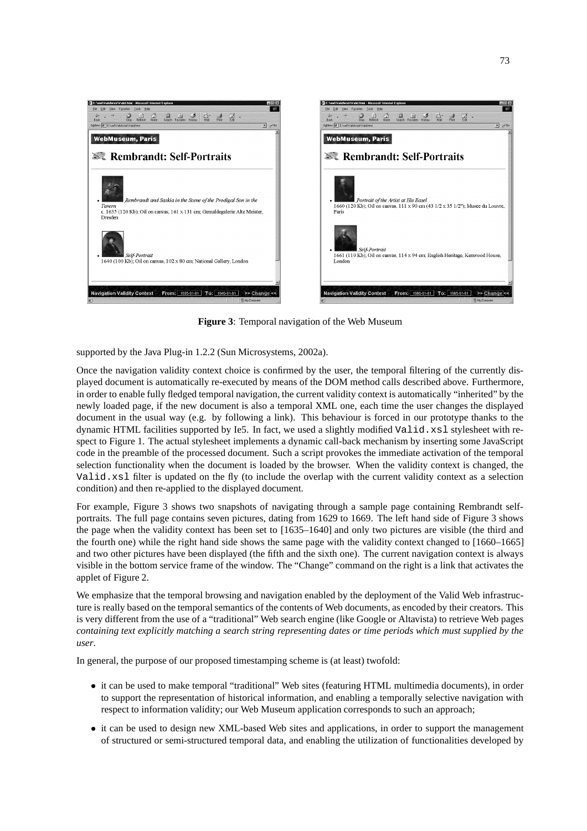

**Figure 3**: Temporal navigation of the Web Museum

supported by the Java Plug-in 1.2.2 (Sun Microsystems, 2002a).

Once the navigation validity context choice is confirmed by the user, the temporal filtering of the currently displayed document is automatically re-executed by means of the DOM method calls described above. Furthermore, in order to enable fully fledged temporal navigation, the current validity context is automatically "inherited" by the newly loaded page, if the new document is also a temporal XML one, each time the user changes the displayed document in the usual way (e.g. by following a link). This behaviour is forced in our prototype thanks to the dynamic HTML facilities supported by Ie5. In fact, we used a slightly modified Valid.xsl stylesheet with respect to Figure 1. The actual stylesheet implements a dynamic call-back mechanism by inserting some JavaScript code in the preamble of the processed document. Such a script provokes the immediate activation of the temporal selection functionality when the document is loaded by the browser. When the validity context is changed, the Valid.xsl filter is updated on the fly (to include the overlap with the current validity context as a selection condition) and then re-applied to the displayed document.

For example, Figure 3 shows two snapshots of navigating through a sample page containing Rembrandt selfportraits. The full page contains seven pictures, dating from 1629 to 1669. The left hand side of Figure 3 shows the page when the validity context has been set to [1635–1640] and only two pictures are visible (the third and the fourth one) while the right hand side shows the same page with the validity context changed to [1660–1665] and two other pictures have been displayed (the fifth and the sixth one). The current navigation context is always visible in the bottom service frame of the window. The "Change" command on the right is a link that activates the applet of Figure 2.

We emphasize that the temporal browsing and navigation enabled by the deployment of the Valid Web infrastructure is really based on the temporal semantics of the contents of Web documents, as encoded by their creators. This is very different from the use of a "traditional" Web search engine (like Google or Altavista) to retrieve Web pages containing text explicitly matching a search string representing dates or time periods which must supplied by the *user*.

In general, the purpose of our proposed timestamping scheme is (at least) twofold:

- it can be used to make temporal "traditional" Web sites (featuring HTML multimedia documents), in order to support the representation of historical information, and enabling a temporally selective navigation with respect to information validity; our Web Museum application corresponds to such an approach;
- it can be used to design new XML-based Web sites and applications, in order to support the management of structured or semi-structured temporal data, and enabling the utilization of functionalities developed by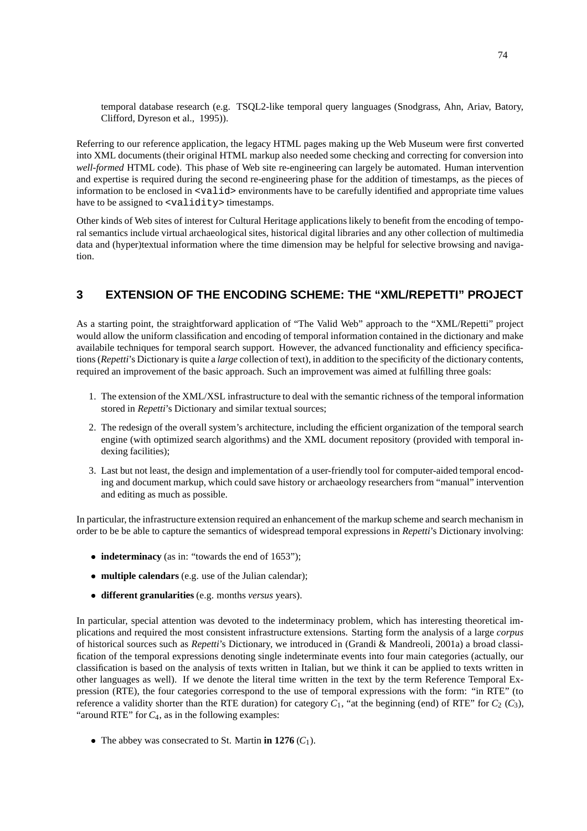temporal database research (e.g. TSQL2-like temporal query languages (Snodgrass, Ahn, Ariav, Batory, Clifford, Dyreson et al., 1995)).

Referring to our reference application, the legacy HTML pages making up the Web Museum were first converted into XML documents (their original HTML markup also needed some checking and correcting for conversion into *well-formed* HTML code). This phase of Web site re-engineering can largely be automated. Human intervention and expertise is required during the second re-engineering phase for the addition of timestamps, as the pieces of information to be enclosed in <valid> environments have to be carefully identified and appropriate time values have to be assigned to <validity> timestamps.

Other kinds of Web sites of interest for Cultural Heritage applications likely to benefit from the encoding of temporal semantics include virtual archaeological sites, historical digital libraries and any other collection of multimedia data and (hyper)textual information where the time dimension may be helpful for selective browsing and navigation.

### **3 EXTENSION OF THE ENCODING SCHEME: THE "XML/REPETTI" PROJECT**

As a starting point, the straightforward application of "The Valid Web" approach to the "XML/Repetti" project would allow the uniform classification and encoding of temporal information contained in the dictionary and make availabile techniques for temporal search support. However, the advanced functionality and efficiency specifications (*Repetti*'s Dictionary is quite a *large* collection of text), in addition to the specificity of the dictionary contents, required an improvement of the basic approach. Such an improvement was aimed at fulfilling three goals:

- 1. The extension of the XML/XSL infrastructure to deal with the semantic richness of the temporal information stored in *Repetti*'s Dictionary and similar textual sources;
- 2. The redesign of the overall system's architecture, including the efficient organization of the temporal search engine (with optimized search algorithms) and the XML document repository (provided with temporal indexing facilities);
- 3. Last but not least, the design and implementation of a user-friendly tool for computer-aided temporal encoding and document markup, which could save history or archaeology researchers from "manual" intervention and editing as much as possible.

In particular, the infrastructure extension required an enhancement of the markup scheme and search mechanism in order to be be able to capture the semantics of widespread temporal expressions in *Repetti*'s Dictionary involving:

- **indeterminacy** (as in: "towards the end of 1653");
- **multiple calendars** (e.g. use of the Julian calendar);
- **different granularities** (e.g. months *versus* years).

In particular, special attention was devoted to the indeterminacy problem, which has interesting theoretical implications and required the most consistent infrastructure extensions. Starting form the analysis of a large *corpus* of historical sources such as *Repetti*'s Dictionary, we introduced in (Grandi & Mandreoli, 2001a) a broad classification of the temporal expressions denoting single indeterminate events into four main categories (actually, our classification is based on the analysis of texts written in Italian, but we think it can be applied to texts written in other languages as well). If we denote the literal time written in the text by the term Reference Temporal Expression (RTE), the four categories correspond to the use of temporal expressions with the form: "in RTE" (to reference a validity shorter than the RTE duration) for category  $C_1$ , "at the beginning (end) of RTE" for  $C_2$  ( $C_3$ ), "around RTE" for  $C_4$ , as in the following examples:

• The abbey was consecrated to St. Martin **in 1276**  $(C_1)$ .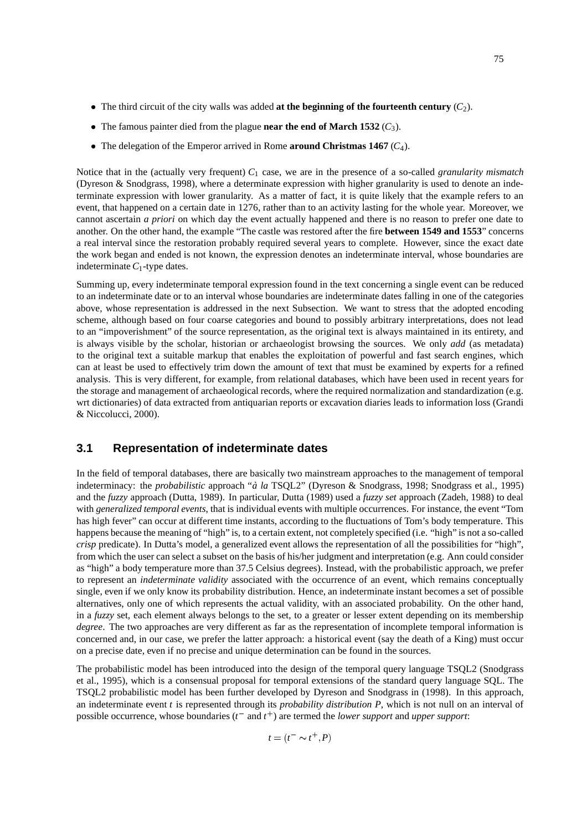- The third circuit of the city walls was added **at the beginning of the fourteenth century** (*C*2).
- The famous painter died from the plague **near the end of March 1532** (*C*3).
- The delegation of the Emperor arrived in Rome **around Christmas 1467** (*C*4).

Notice that in the (actually very frequent) *C*<sup>1</sup> case, we are in the presence of a so-called *granularity mismatch* (Dyreson & Snodgrass, 1998), where a determinate expression with higher granularity is used to denote an indeterminate expression with lower granularity. As a matter of fact, it is quite likely that the example refers to an event, that happened on a certain date in 1276, rather than to an activity lasting for the whole year. Moreover, we cannot ascertain *a priori* on which day the event actually happened and there is no reason to prefer one date to another. On the other hand, the example "The castle was restored after the fire **between 1549 and 1553**" concerns a real interval since the restoration probably required several years to complete. However, since the exact date the work began and ended is not known, the expression denotes an indeterminate interval, whose boundaries are indeterminate  $C_1$ -type dates.

Summing up, every indeterminate temporal expression found in the text concerning a single event can be reduced to an indeterminate date or to an interval whose boundaries are indeterminate dates falling in one of the categories above, whose representation is addressed in the next Subsection. We want to stress that the adopted encoding scheme, although based on four coarse categories and bound to possibly arbitrary interpretations, does not lead to an "impoverishment" of the source representation, as the original text is always maintained in its entirety, and is always visible by the scholar, historian or archaeologist browsing the sources. We only *add* (as metadata) to the original text a suitable markup that enables the exploitation of powerful and fast search engines, which can at least be used to effectively trim down the amount of text that must be examined by experts for a refined analysis. This is very different, for example, from relational databases, which have been used in recent years for the storage and management of archaeological records, where the required normalization and standardization (e.g. wrt dictionaries) of data extracted from antiquarian reports or excavation diaries leads to information loss (Grandi & Niccolucci, 2000).

## **3.1 Representation of indeterminate dates**

In the field of temporal databases, there are basically two mainstream approaches to the management of temporal indeterminacy: the *probabilistic* approach "*a` la* TSQL2" (Dyreson & Snodgrass, 1998; Snodgrass et al., 1995) and the *fuzzy* approach (Dutta, 1989). In particular, Dutta (1989) used a *fuzzy set* approach (Zadeh, 1988) to deal with *generalized temporal events*, that is individual events with multiple occurrences. For instance, the event "Tom has high fever" can occur at different time instants, according to the fluctuations of Tom's body temperature. This happens because the meaning of "high" is, to a certain extent, not completely specified (i.e. "high" is not a so-called *crisp* predicate). In Dutta's model, a generalized event allows the representation of all the possibilities for "high", from which the user can select a subset on the basis of his/her judgment and interpretation (e.g. Ann could consider as "high" a body temperature more than 37.5 Celsius degrees). Instead, with the probabilistic approach, we prefer to represent an *indeterminate validity* associated with the occurrence of an event, which remains conceptually single, even if we only know its probability distribution. Hence, an indeterminate instant becomes a set of possible alternatives, only one of which represents the actual validity, with an associated probability. On the other hand, in a *fuzzy* set, each element always belongs to the set, to a greater or lesser extent depending on its membership *degree*. The two approaches are very different as far as the representation of incomplete temporal information is concerned and, in our case, we prefer the latter approach: a historical event (say the death of a King) must occur on a precise date, even if no precise and unique determination can be found in the sources.

The probabilistic model has been introduced into the design of the temporal query language TSQL2 (Snodgrass et al., 1995), which is a consensual proposal for temporal extensions of the standard query language SQL. The TSQL2 probabilistic model has been further developed by Dyreson and Snodgrass in (1998). In this approach, an indeterminate event *t* is represented through its *probability distribution P*, which is not null on an interval of possible occurrence, whose boundaries  $(t<sup>-</sup>$  and  $t<sup>+</sup>)$  are termed the *lower support* and *upper support*:

$$
t = (t^- \sim t^+, P)
$$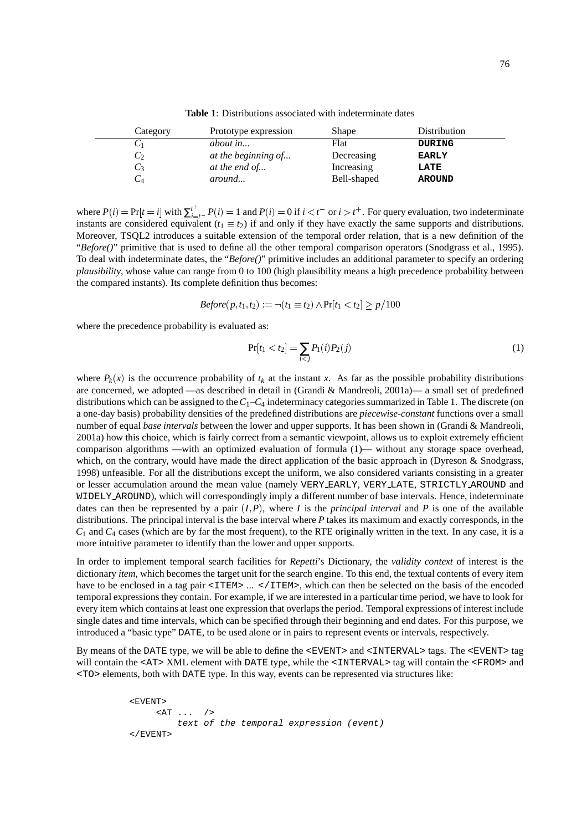| Category        | Prototype expression | Shape       | Distribution  |  |
|-----------------|----------------------|-------------|---------------|--|
|                 | <i>about in</i>      | Flat        | <b>DURING</b> |  |
| $\mathcal{C}_2$ | at the beginning of  | Decreasing  | <b>EARLY</b>  |  |
| $C_3$           | at the end of        | Increasing  | LATE          |  |
| $C$ 4           | around               | Bell-shaped | <b>AROUND</b> |  |

**Table 1**: Distributions associated with indeterminate dates

where  $P(i) = Pr[t = i]$  with  $\sum_{i=t}^{t+1} P(i) = 1$  and  $P(i) = 0$  if  $i < t^-$  or  $i > t^+$ . For query evaluation, two indeterminate instants are considered equivalent ( $t_1 \equiv t_2$ ) if and only if they have exactly the same supports and distributions. Moreover, TSQL2 introduces a suitable extension of the temporal order relation, that is a new definition of the "Before()" primitive that is used to define all the other temporal comparison operators (Snodgrass et al., 1995). To deal with indeterminate dates, the "*Before()*" primitive includes an additional parameter to specify an ordering *plausibility*, whose value can range from 0 to 100 (high plausibility means a high precedence probability between the compared instants). Its complete definition thus becomes:

$$
Before(p,t_1,t_2):=\neg(t_1 \equiv t_2) \land \Pr[t_1 < t_2] \ge p/100
$$

where the precedence probability is evaluated as:

$$
Pr[t_1 < t_2] = \sum_{i < j} P_1(i) P_2(j) \tag{1}
$$

where  $P_k(x)$  is the occurrence probability of  $t_k$  at the instant x. As far as the possible probability distributions are concerned, we adopted —as described in detail in (Grandi & Mandreoli, 2001a)— a small set of predefined distributions which can be assigned to the*C*1–*C*<sup>4</sup> indeterminacy categories summarized in Table 1. The discrete (on a one-day basis) probability densities of the predefined distributions are *piecewise-constant* functions over a small number of equal *base intervals* between the lower and upper supports. It has been shown in (Grandi & Mandreoli, 2001a) how this choice, which is fairly correct from a semantic viewpoint, allows us to exploit extremely efficient comparison algorithms —with an optimized evaluation of formula (1)— without any storage space overhead, which, on the contrary, would have made the direct application of the basic approach in (Dyreson & Snodgrass, 1998) unfeasible. For all the distributions except the uniform, we also considered variants consisting in a greater or lesser accumulation around the mean value (namely VERY EARLY, VERY LATE, STRICTLY AROUND and WIDELY AROUND), which will correspondingly imply a different number of base intervals. Hence, indeterminate dates can then be represented by a pair  $(I, P)$ , where *I* is the *principal interval* and *P* is one of the available distributions. The principal interval is the base interval where *P* takes its maximum and exactly corresponds, in the  $C_1$  and  $C_4$  cases (which are by far the most frequent), to the RTE originally written in the text. In any case, it is a more intuitive parameter to identify than the lower and upper supports.

In order to implement temporal search facilities for *Repetti*'s Dictionary, the *validity context* of interest is the dictionary *item*, which becomes the target unit for the search engine. To this end, the textual contents of every item have to be enclosed in a tag pair <ITEM> ... </ITEM>, which can then be selected on the basis of the encoded temporal expressions they contain. For example, if we are interested in a particular time period, we have to look for every item which contains at least one expression that overlaps the period. Temporal expressions of interest include single dates and time intervals, which can be specified through their beginning and end dates. For this purpose, we introduced a "basic type" DATE, to be used alone or in pairs to represent events or intervals, respectively.

By means of the DATE type, we will be able to define the <EVENT> and <INTERVAL> tags. The <EVENT> tag will contain the <AT> XML element with DATE type, while the <INTERVAL> tag will contain the <FROM> and <TO> elements, both with DATE type. In this way, events can be represented via structures like:

<EVENT> <AT ... /> text of the temporal expression (event) </EVENT>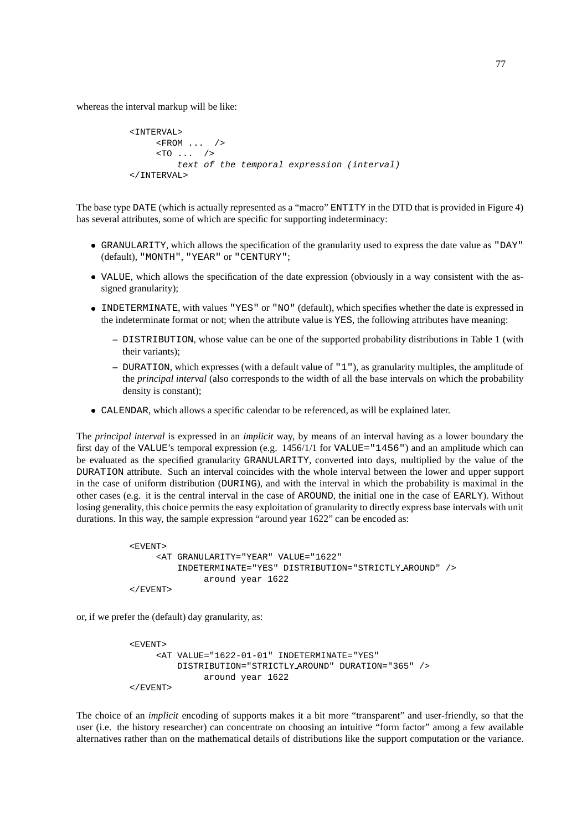whereas the interval markup will be like:

```
<INTERVAL>
     <FROM ... />
     < TO \ldots />
        text of the temporal expression (interval)
</INTERVAL>
```
The base type DATE (which is actually represented as a "macro" ENTITY in the DTD that is provided in Figure 4) has several attributes, some of which are specific for supporting indeterminacy:

- GRANULARITY, which allows the specification of the granularity used to express the date value as "DAY" (default), "MONTH", "YEAR" or "CENTURY";
- VALUE, which allows the specification of the date expression (obviously in a way consistent with the assigned granularity);
- INDETERMINATE, with values "YES" or "NO" (default), which specifies whether the date is expressed in the indeterminate format or not; when the attribute value is YES, the following attributes have meaning:
	- **–** DISTRIBUTION, whose value can be one of the supported probability distributions in Table 1 (with their variants);
	- **–** DURATION, which expresses (with a default value of "1"), as granularity multiples, the amplitude of the *principal interval* (also corresponds to the width of all the base intervals on which the probability density is constant);
- CALENDAR, which allows a specific calendar to be referenced, as will be explained later.

The *principal interval* is expressed in an *implicit* way, by means of an interval having as a lower boundary the first day of the VALUE's temporal expression (e.g. 1456/1/1 for VALUE="1456") and an amplitude which can be evaluated as the specified granularity GRANULARITY, converted into days, multiplied by the value of the DURATION attribute. Such an interval coincides with the whole interval between the lower and upper support in the case of uniform distribution (DURING), and with the interval in which the probability is maximal in the other cases (e.g. it is the central interval in the case of AROUND, the initial one in the case of EARLY). Without losing generality, this choice permits the easy exploitation of granularity to directly express base intervals with unit durations. In this way, the sample expression "around year 1622" can be encoded as:

```
<EVENT>
    <AT GRANULARITY="YEAR" VALUE="1622"
        INDETERMINATE="YES" DISTRIBUTION="STRICTLY AROUND" />
              around year 1622
</EVENT>
```
or, if we prefer the (default) day granularity, as:

```
<EVENT>
     <AT VALUE="1622-01-01" INDETERMINATE="YES"
        DISTRIBUTION="STRICTLY AROUND" DURATION="365" />
             around year 1622
</EVENT>
```
The choice of an *implicit* encoding of supports makes it a bit more "transparent" and user-friendly, so that the user (i.e. the history researcher) can concentrate on choosing an intuitive "form factor" among a few available alternatives rather than on the mathematical details of distributions like the support computation or the variance.